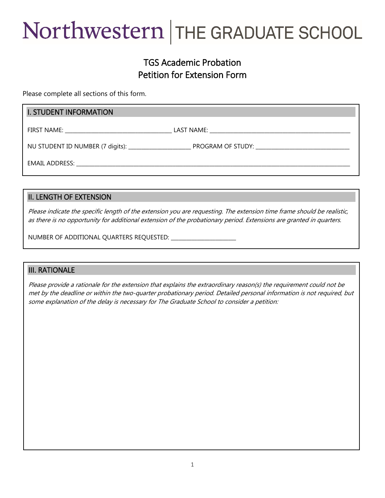# Northwestern | THE GRADUATE SCHOOL

## TGS Academic Probation Petition for Extension Form

Please complete all sections of this form.

#### I. STUDENT INFORMATION

FIRST NAME: \_\_\_\_\_\_\_\_\_\_\_\_\_\_\_\_\_\_\_\_\_\_\_\_\_\_\_\_\_\_\_\_\_\_\_\_\_\_\_\_\_ LAST NAME: \_\_\_\_\_\_\_\_\_\_\_\_\_\_\_\_\_\_\_\_\_\_\_\_\_\_\_\_\_\_\_\_\_\_\_\_\_\_\_\_\_\_\_\_\_\_\_\_\_\_\_\_\_\_

NU STUDENT ID NUMBER (7 digits): \_\_\_\_\_\_\_\_\_\_\_\_\_\_\_\_\_\_\_\_\_\_\_\_ PROGRAM OF STUDY: \_\_\_\_\_\_\_\_\_\_\_\_\_\_\_\_\_\_\_\_\_\_\_\_\_\_\_\_\_\_\_\_\_\_\_\_

EMAIL ADDRESS: with a state of the state of the state of the state of the state of the state of the state of the state of the state of the state of the state of the state of the state of the state of the state of the state

#### II. LENGTH OF EXTENSION

Please indicate the specific length of the extension you are requesting. The extension time frame should be realistic, as there is no opportunity for additional extension of the probationary period. Extensions are granted in quarters.

NUMBER OF ADDITIONAL QUARTERS REQUESTED: \_\_\_\_\_\_\_\_\_\_\_\_\_\_\_\_\_\_\_\_\_\_\_\_\_

#### III. RATIONALE

Please provide a rationale for the extension that explains the extraordinary reason(s) the requirement could not be met by the deadline or within the two-quarter probationary period. Detailed personal information is not required, but some explanation of the delay is necessary for The Graduate School to consider a petition: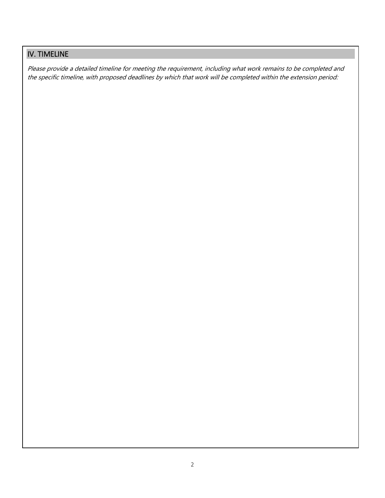## IV. TIMELINE

Please provide a detailed timeline for meeting the requirement, including what work remains to be completed and the specific timeline, with proposed deadlines by which that work will be completed within the extension period: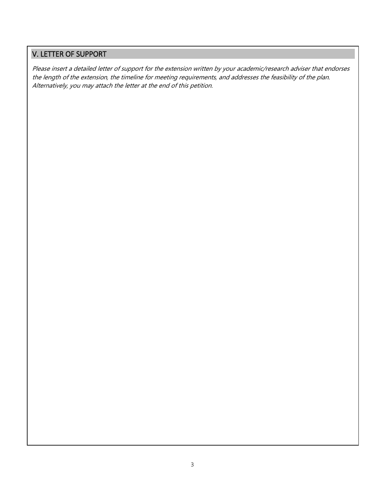### V. LETTER OF SUPPORT

Please insert a detailed letter of support for the extension written by your academic/research adviser that endorses the length of the extension, the timeline for meeting requirements, and addresses the feasibility of the plan. Alternatively, you may attach the letter at the end of this petition.